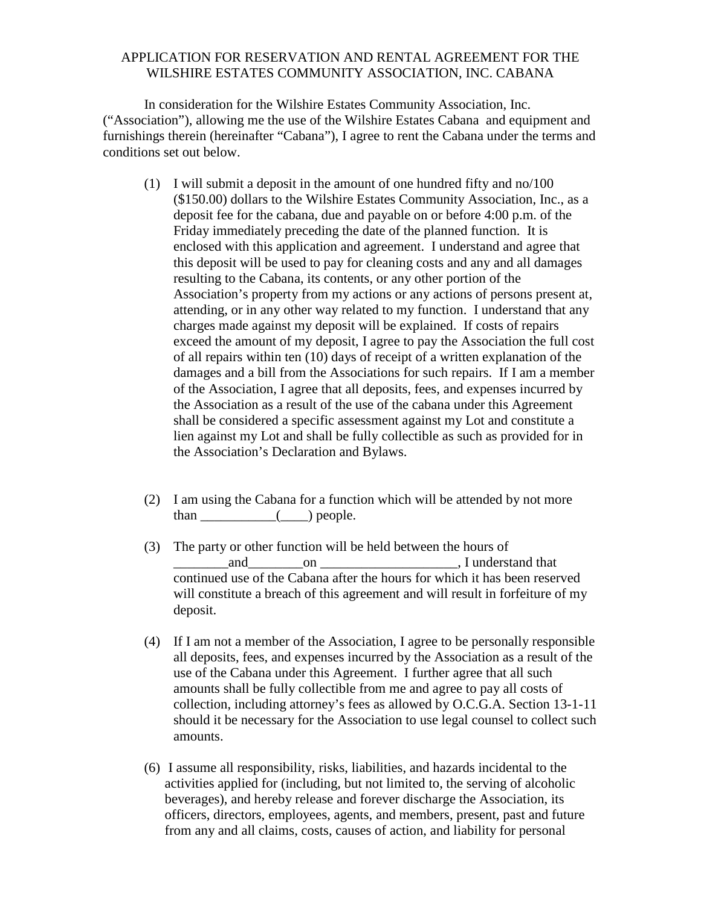## APPLICATION FOR RESERVATION AND RENTAL AGREEMENT FOR THE WILSHIRE ESTATES COMMUNITY ASSOCIATION, INC. CABANA

In consideration for the Wilshire Estates Community Association, Inc. ("Association"), allowing me the use of the Wilshire Estates Cabana and equipment and furnishings therein (hereinafter "Cabana"), I agree to rent the Cabana under the terms and conditions set out below.

- (1) I will submit a deposit in the amount of one hundred fifty and no/100 (\$150.00) dollars to the Wilshire Estates Community Association, Inc., as a deposit fee for the cabana, due and payable on or before 4:00 p.m. of the Friday immediately preceding the date of the planned function. It is enclosed with this application and agreement. I understand and agree that this deposit will be used to pay for cleaning costs and any and all damages resulting to the Cabana, its contents, or any other portion of the Association's property from my actions or any actions of persons present at, attending, or in any other way related to my function. I understand that any charges made against my deposit will be explained. If costs of repairs exceed the amount of my deposit, I agree to pay the Association the full cost of all repairs within ten (10) days of receipt of a written explanation of the damages and a bill from the Associations for such repairs. If I am a member of the Association, I agree that all deposits, fees, and expenses incurred by the Association as a result of the use of the cabana under this Agreement shall be considered a specific assessment against my Lot and constitute a lien against my Lot and shall be fully collectible as such as provided for in the Association's Declaration and Bylaws.
- (2) I am using the Cabana for a function which will be attended by not more than \_\_\_\_\_\_\_\_\_\_\_(\_\_\_\_) people.
- (3) The party or other function will be held between the hours of \_\_\_\_\_\_\_\_and\_\_\_\_\_\_\_\_on \_\_\_\_\_\_\_\_\_\_\_\_\_\_\_\_\_\_\_\_, I understand that continued use of the Cabana after the hours for which it has been reserved will constitute a breach of this agreement and will result in forfeiture of my deposit.
- (4) If I am not a member of the Association, I agree to be personally responsible all deposits, fees, and expenses incurred by the Association as a result of the use of the Cabana under this Agreement. I further agree that all such amounts shall be fully collectible from me and agree to pay all costs of collection, including attorney's fees as allowed by O.C.G.A. Section 13-1-11 should it be necessary for the Association to use legal counsel to collect such amounts.
- (6) I assume all responsibility, risks, liabilities, and hazards incidental to the activities applied for (including, but not limited to, the serving of alcoholic beverages), and hereby release and forever discharge the Association, its officers, directors, employees, agents, and members, present, past and future from any and all claims, costs, causes of action, and liability for personal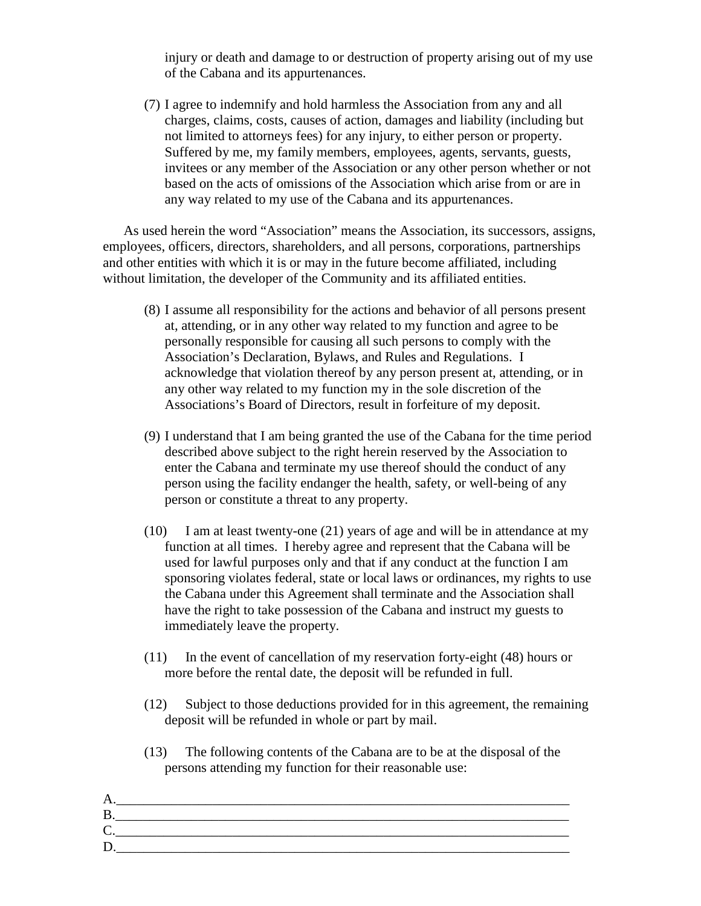injury or death and damage to or destruction of property arising out of my use of the Cabana and its appurtenances.

(7) I agree to indemnify and hold harmless the Association from any and all charges, claims, costs, causes of action, damages and liability (including but not limited to attorneys fees) for any injury, to either person or property. Suffered by me, my family members, employees, agents, servants, guests, invitees or any member of the Association or any other person whether or not based on the acts of omissions of the Association which arise from or are in any way related to my use of the Cabana and its appurtenances.

 As used herein the word "Association" means the Association, its successors, assigns, employees, officers, directors, shareholders, and all persons, corporations, partnerships and other entities with which it is or may in the future become affiliated, including without limitation, the developer of the Community and its affiliated entities.

- (8) I assume all responsibility for the actions and behavior of all persons present at, attending, or in any other way related to my function and agree to be personally responsible for causing all such persons to comply with the Association's Declaration, Bylaws, and Rules and Regulations. I acknowledge that violation thereof by any person present at, attending, or in any other way related to my function my in the sole discretion of the Associations's Board of Directors, result in forfeiture of my deposit.
- (9) I understand that I am being granted the use of the Cabana for the time period described above subject to the right herein reserved by the Association to enter the Cabana and terminate my use thereof should the conduct of any person using the facility endanger the health, safety, or well-being of any person or constitute a threat to any property.
- (10) I am at least twenty-one (21) years of age and will be in attendance at my function at all times. I hereby agree and represent that the Cabana will be used for lawful purposes only and that if any conduct at the function I am sponsoring violates federal, state or local laws or ordinances, my rights to use the Cabana under this Agreement shall terminate and the Association shall have the right to take possession of the Cabana and instruct my guests to immediately leave the property.
- (11) In the event of cancellation of my reservation forty-eight (48) hours or more before the rental date, the deposit will be refunded in full.
- (12) Subject to those deductions provided for in this agreement, the remaining deposit will be refunded in whole or part by mail.
- (13) The following contents of the Cabana are to be at the disposal of the persons attending my function for their reasonable use:

| −  |  |
|----|--|
|    |  |
| ∼. |  |
|    |  |